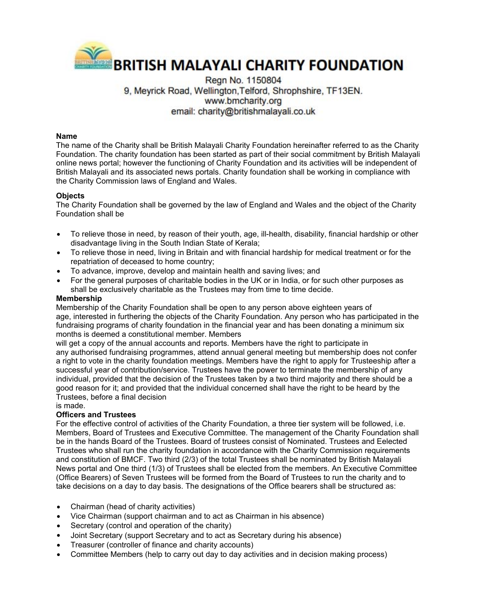

# Regn No. 1150804 9. Meyrick Road, Wellington, Telford, Shrophshire, TF13EN. www.bmcharity.org email: charity@britishmalayali.co.uk

### **Name**

The name of the Charity shall be British Malayali Charity Foundation hereinafter referred to as the Charity Foundation. The charity foundation has been started as part of their social commitment by British Malayali online news portal; however the functioning of Charity Foundation and its activities will be independent of British Malayali and its associated news portals. Charity foundation shall be working in compliance with the Charity Commission laws of England and Wales.

#### **Objects**

The Charity Foundation shall be governed by the law of England and Wales and the object of the Charity Foundation shall be

- To relieve those in need, by reason of their youth, age, ill-health, disability, financial hardship or other disadvantage living in the South Indian State of Kerala;
- To relieve those in need, living in Britain and with financial hardship for medical treatment or for the repatriation of deceased to home country;
- To advance, improve, develop and maintain health and saving lives; and
- For the general purposes of charitable bodies in the UK or in India, or for such other purposes as shall be exclusively charitable as the Trustees may from time to time decide.

#### **Membership**

Membership of the Charity Foundation shall be open to any person above eighteen years of age, interested in furthering the objects of the Charity Foundation. Any person who has participated in the fundraising programs of charity foundation in the financial year and has been donating a minimum six months is deemed a constitutional member. Members

will get a copy of the annual accounts and reports. Members have the right to participate in any authorised fundraising programmes, attend annual general meeting but membership does not confer a right to vote in the charity foundation meetings. Members have the right to apply for Trusteeship after a successful year of contribution/service. Trustees have the power to terminate the membership of any individual, provided that the decision of the Trustees taken by a two third majority and there should be a good reason for it; and provided that the individual concerned shall have the right to be heard by the Trustees, before a final decision

is made.

### **Officers and Trustees**

For the effective control of activities of the Charity Foundation, a three tier system will be followed, i.e. Members, Board of Trustees and Executive Committee. The management of the Charity Foundation shall be in the hands Board of the Trustees. Board of trustees consist of Nominated. Trustees and Eelected Trustees who shall run the charity foundation in accordance with the Charity Commission requirements and constitution of BMCF. Two third (2/3) of the total Trustees shall be nominated by British Malayali News portal and One third (1/3) of Trustees shall be elected from the members. An Executive Committee (Office Bearers) of Seven Trustees will be formed from the Board of Trustees to run the charity and to take decisions on a day to day basis. The designations of the Office bearers shall be structured as:

- Chairman (head of charity activities)
- Vice Chairman (support chairman and to act as Chairman in his absence)
- Secretary (control and operation of the charity)
- Joint Secretary (support Secretary and to act as Secretary during his absence)
- Treasurer (controller of finance and charity accounts)
- Committee Members (help to carry out day to day activities and in decision making process)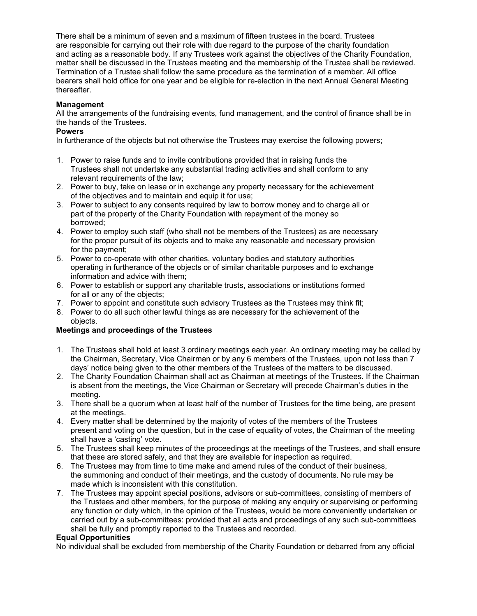There shall be a minimum of seven and a maximum of fifteen trustees in the board. Trustees are responsible for carrying out their role with due regard to the purpose of the charity foundation and acting as a reasonable body. If any Trustees work against the objectives of the Charity Foundation, matter shall be discussed in the Trustees meeting and the membership of the Trustee shall be reviewed. Termination of a Trustee shall follow the same procedure as the termination of a member. All office bearers shall hold office for one year and be eligible for re-election in the next Annual General Meeting thereafter.

### **Management**

All the arrangements of the fundraising events, fund management, and the control of finance shall be in the hands of the Trustees.

### **Powers**

In furtherance of the objects but not otherwise the Trustees may exercise the following powers;

- 1. Power to raise funds and to invite contributions provided that in raising funds the Trustees shall not undertake any substantial trading activities and shall conform to any relevant requirements of the law;
- 2. Power to buy, take on lease or in exchange any property necessary for the achievement of the objectives and to maintain and equip it for use;
- 3. Power to subject to any consents required by law to borrow money and to charge all or part of the property of the Charity Foundation with repayment of the money so borrowed;
- 4. Power to employ such staff (who shall not be members of the Trustees) as are necessary for the proper pursuit of its objects and to make any reasonable and necessary provision for the payment;
- 5. Power to co-operate with other charities, voluntary bodies and statutory authorities operating in furtherance of the objects or of similar charitable purposes and to exchange information and advice with them;
- 6. Power to establish or support any charitable trusts, associations or institutions formed for all or any of the objects;
- 7. Power to appoint and constitute such advisory Trustees as the Trustees may think fit;
- 8. Power to do all such other lawful things as are necessary for the achievement of the objects.

## **Meetings and proceedings of the Trustees**

- 1. The Trustees shall hold at least 3 ordinary meetings each year. An ordinary meeting may be called by the Chairman, Secretary, Vice Chairman or by any 6 members of the Trustees, upon not less than 7 days' notice being given to the other members of the Trustees of the matters to be discussed.
- 2. The Charity Foundation Chairman shall act as Chairman at meetings of the Trustees. If the Chairman is absent from the meetings, the Vice Chairman or Secretary will precede Chairman's duties in the meeting.
- 3. There shall be a quorum when at least half of the number of Trustees for the time being, are present at the meetings.
- 4. Every matter shall be determined by the majority of votes of the members of the Trustees present and voting on the question, but in the case of equality of votes, the Chairman of the meeting shall have a 'casting' vote.
- 5. The Trustees shall keep minutes of the proceedings at the meetings of the Trustees, and shall ensure that these are stored safely, and that they are available for inspection as required.
- 6. The Trustees may from time to time make and amend rules of the conduct of their business, the summoning and conduct of their meetings, and the custody of documents. No rule may be made which is inconsistent with this constitution.
- 7. The Trustees may appoint special positions, advisors or sub-committees, consisting of members of the Trustees and other members, for the purpose of making any enquiry or supervising or performing any function or duty which, in the opinion of the Trustees, would be more conveniently undertaken or carried out by a sub-committees: provided that all acts and proceedings of any such sub-committees shall be fully and promptly reported to the Trustees and recorded.

### **Equal Opportunities**

No individual shall be excluded from membership of the Charity Foundation or debarred from any official